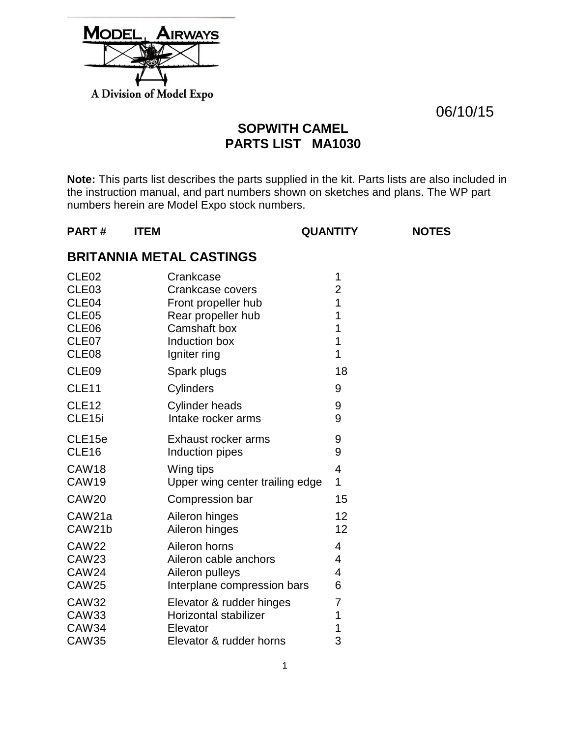| <b>MODEL, AIRWAYS</b>    |
|--------------------------|
|                          |
|                          |
| A Division of Model Expo |

06/10/15

## **SOPWITH CAMEL PARTS LIST MA1030**

**Note:** This parts list describes the parts supplied in the kit. Parts lists are also included in the instruction manual, and part numbers shown on sketches and plans. The WP part numbers herein are Model Expo stock numbers.

### **PART # ITEM QUANTITY NOTES**

## **BRITANNIA METAL CASTINGS**

| Crankcase                                                     | 1                                                                   |
|---------------------------------------------------------------|---------------------------------------------------------------------|
| Crankcase covers                                              | $\overline{2}$                                                      |
| Front propeller hub                                           | 1                                                                   |
| Rear propeller hub                                            | 1                                                                   |
| Camshaft box                                                  | 1                                                                   |
| Induction box                                                 | $\overline{1}$                                                      |
|                                                               | 1<br>18                                                             |
|                                                               | 9                                                                   |
| <b>Cylinder heads</b>                                         | 9                                                                   |
| Intake rocker arms                                            | 9                                                                   |
| Exhaust rocker arms                                           | 9                                                                   |
| Induction pipes                                               | 9                                                                   |
| Wing tips                                                     | 4                                                                   |
| Upper wing center trailing edge                               | 1                                                                   |
| Compression bar                                               | 15                                                                  |
| Aileron hinges                                                | 12                                                                  |
| Aileron hinges                                                | 12                                                                  |
| Aileron horns                                                 | 4                                                                   |
| Aileron cable anchors                                         | 4                                                                   |
| Aileron pulleys                                               | 4                                                                   |
| Interplane compression bars                                   | 6                                                                   |
| Elevator & rudder hinges<br>Horizontal stabilizer<br>Elevator | 7<br>1<br>1<br>3                                                    |
|                                                               | Igniter ring<br>Spark plugs<br>Cylinders<br>Elevator & rudder horns |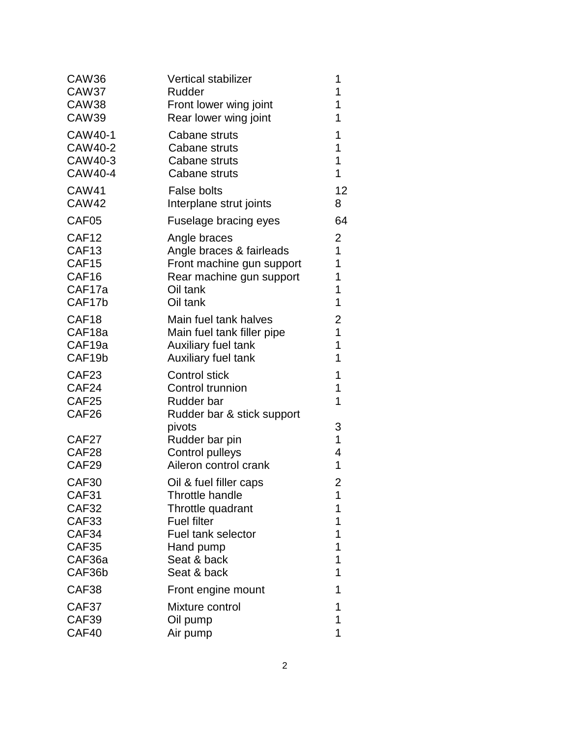| <b>Vertical stabilizer</b>   | 1              |
|------------------------------|----------------|
| Rudder                       | 1              |
| Front lower wing joint       | 1              |
| Rear lower wing joint        | 1              |
| Cabane struts                | 1              |
| Cabane struts                | 1              |
| Cabane struts                | 1              |
| Cabane struts                | 1              |
| <b>False bolts</b>           | 12             |
| Interplane strut joints      | 8              |
| <b>Fuselage bracing eyes</b> | 64             |
| Angle braces                 | 2              |
| Angle braces & fairleads     | 1              |
| Front machine gun support    | 1              |
| Rear machine gun support     | 1              |
| Oil tank                     | 1              |
| Oil tank                     | 1              |
| Main fuel tank halves        | 2              |
| Main fuel tank filler pipe   | $\overline{1}$ |
| Auxiliary fuel tank          | 1              |
| Auxiliary fuel tank          | 1              |
| <b>Control stick</b>         | 1              |
| Control trunnion             | 1              |
| Rudder bar                   | 1              |
| Rudder bar & stick support   | 3              |
| Rudder bar pin               | 1              |
| <b>Control pulleys</b>       | 4              |
| Aileron control crank        | 1              |
| Oil & fuel filler caps       | 2              |
| Throttle handle              | 1              |
| Throttle quadrant            | 1              |
| <b>Fuel filter</b>           | 1              |
| Fuel tank selector           | 1              |
| Hand pump                    | 1              |
| Seat & back                  | 1              |
| Seat & back                  | 1              |
| Front engine mount           | 1              |
| Mixture control              | 1              |
| Oil pump                     | 1              |
| Air pump                     | 1              |
|                              | pivots         |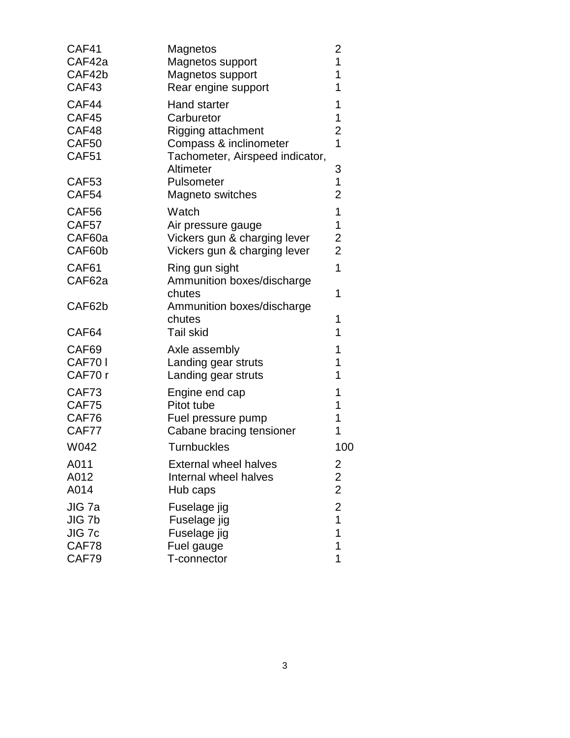| Magnetos                                                          | 2                                                                                                       |
|-------------------------------------------------------------------|---------------------------------------------------------------------------------------------------------|
| Magnetos support                                                  | 1                                                                                                       |
| Magnetos support                                                  | 1                                                                                                       |
| Rear engine support                                               | 1                                                                                                       |
| <b>Hand starter</b>                                               | 1                                                                                                       |
| Carburetor                                                        | 1                                                                                                       |
| <b>Rigging attachment</b>                                         | $\overline{c}$                                                                                          |
| Tachometer, Airspeed indicator,                                   | $\overline{1}$                                                                                          |
| Altimeter                                                         | 3                                                                                                       |
| Pulsometer                                                        | 1                                                                                                       |
| Magneto switches                                                  | $\overline{2}$                                                                                          |
| Watch                                                             | 1                                                                                                       |
| Air pressure gauge                                                | 1                                                                                                       |
| Vickers gun & charging lever                                      | 2                                                                                                       |
| Vickers gun & charging lever                                      | $\overline{2}$                                                                                          |
| Ring gun sight                                                    | 1                                                                                                       |
| Ammunition boxes/discharge                                        | 1                                                                                                       |
| Ammunition boxes/discharge                                        | 1                                                                                                       |
| chutes                                                            | 1                                                                                                       |
| Axle assembly<br>Landing gear struts                              | 1<br>1<br>1                                                                                             |
| Engine end cap                                                    | 1                                                                                                       |
| Pitot tube                                                        | 1                                                                                                       |
| Fuel pressure pump                                                | 1                                                                                                       |
| <b>Turnbuckles</b>                                                | 1<br>100                                                                                                |
| <b>External wheel halves</b><br>Internal wheel halves<br>Hub caps | $\frac{2}{2}$                                                                                           |
| Fuselage jig                                                      | $\overline{c}$                                                                                          |
| Fuselage jig                                                      | $\overline{1}$                                                                                          |
| Fuselage jig                                                      | 1                                                                                                       |
| Fuel gauge                                                        | 1                                                                                                       |
| T-connector                                                       | 1                                                                                                       |
|                                                                   | Compass & inclinometer<br>chutes<br><b>Tail skid</b><br>Landing gear struts<br>Cabane bracing tensioner |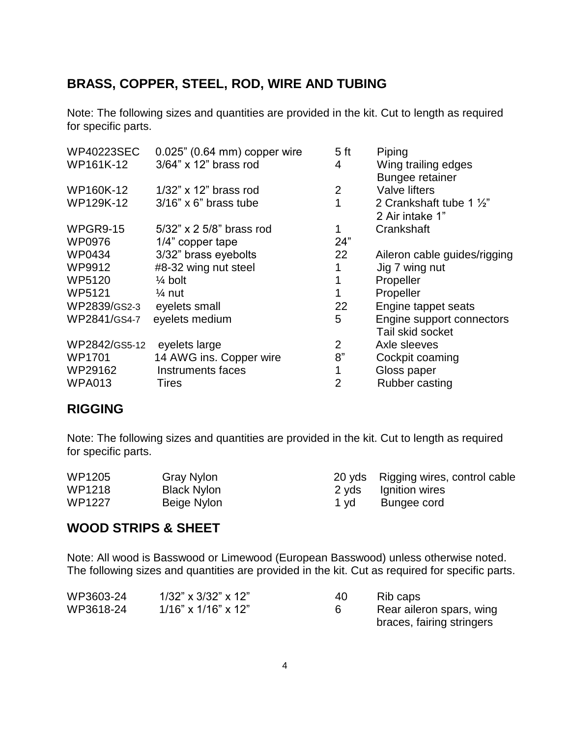## **BRASS, COPPER, STEEL, ROD, WIRE AND TUBING**

Note: The following sizes and quantities are provided in the kit. Cut to length as required for specific parts.

| <b>WP40223SEC</b> | 0.025" (0.64 mm) copper wire   | 5 <sub>ft</sub> | Piping                       |
|-------------------|--------------------------------|-----------------|------------------------------|
| WP161K-12         | $3/64$ " x 12" brass rod       | 4               | Wing trailing edges          |
|                   |                                |                 | <b>Bungee retainer</b>       |
| WP160K-12         | $1/32$ " x 12" brass rod       | 2               | Valve lifters                |
| WP129K-12         | $3/16$ " x 6" brass tube       | 1               | 2 Crankshaft tube 1 1/2"     |
|                   |                                |                 | 2 Air intake 1"              |
| <b>WPGR9-15</b>   | $5/32$ " x 2 $5/8$ " brass rod | 1               | Crankshaft                   |
| <b>WP0976</b>     | 1/4" copper tape               | 24"             |                              |
| WP0434            | 3/32" brass eyebolts           | 22              | Aileron cable guides/rigging |
| WP9912            | #8-32 wing nut steel           |                 | Jig 7 wing nut               |
| WP5120            | $\frac{1}{4}$ bolt             |                 | Propeller                    |
| WP5121            | $\frac{1}{4}$ nut              |                 | Propeller                    |
| WP2839/GS2-3      | eyelets small                  | 22              | Engine tappet seats          |
| WP2841/GS4-7      | eyelets medium                 | 5               | Engine support connectors    |
|                   |                                |                 | Tail skid socket             |
| WP2842/GS5-12     | eyelets large                  | $\overline{2}$  | Axle sleeves                 |
| <b>WP1701</b>     | 14 AWG ins. Copper wire        | 8"              | Cockpit coaming              |
| WP29162           | Instruments faces              |                 | Gloss paper                  |
| <b>WPA013</b>     | Tires                          | 2               | Rubber casting               |

### **RIGGING**

Note: The following sizes and quantities are provided in the kit. Cut to length as required for specific parts.

| WP1205 | Gray Nylon         |      | 20 yds Rigging wires, control cable |
|--------|--------------------|------|-------------------------------------|
| WP1218 | <b>Black Nylon</b> |      | 2 yds Ignition wires                |
| WP1227 | Beige Nylon        | 1 vd | Bungee cord                         |

### **WOOD STRIPS & SHEET**

Note: All wood is Basswood or Limewood (European Basswood) unless otherwise noted. The following sizes and quantities are provided in the kit. Cut as required for specific parts.

| WP3603-24 | $1/32$ " x $3/32$ " x $12$ " | 40 | Rib caps                  |
|-----------|------------------------------|----|---------------------------|
| WP3618-24 | $1/16$ " x $1/16$ " x $12$ " |    | Rear aileron spars, wing  |
|           |                              |    | braces, fairing stringers |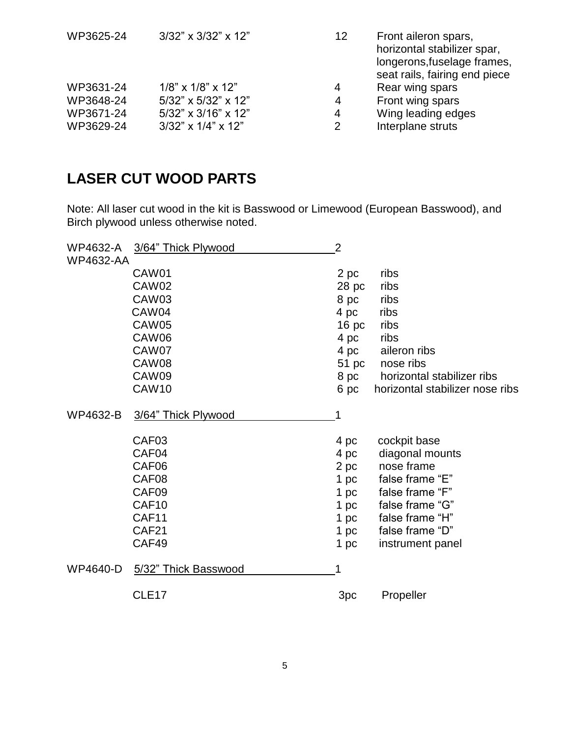| WP3625-24 | 3/32" x 3/32" x 12"          | 12 | Front aileron spars,<br>horizontal stabilizer spar,<br>longerons, fuselage frames,<br>seat rails, fairing end piece |
|-----------|------------------------------|----|---------------------------------------------------------------------------------------------------------------------|
| WP3631-24 | $1/8$ " x $1/8$ " x $12$ "   | 4  | Rear wing spars                                                                                                     |
| WP3648-24 | 5/32" x 5/32" x 12"          | 4  | Front wing spars                                                                                                    |
| WP3671-24 | $5/32$ " x $3/16$ " x $12$ " | 4  | Wing leading edges                                                                                                  |
| WP3629-24 | $3/32$ " x $1/4$ " x $12$ "  | 2  | Interplane struts                                                                                                   |

# **LASER CUT WOOD PARTS**

Note: All laser cut wood in the kit is Basswood or Limewood (European Basswood), and Birch plywood unless otherwise noted.

| WP4632-A         | 3/64" Thick Plywood  | $\overline{2}$   |                                 |
|------------------|----------------------|------------------|---------------------------------|
| <b>WP4632-AA</b> |                      |                  |                                 |
|                  | CAW01                | 2 pc             | ribs                            |
|                  | CAW02                | 28 pc            | ribs                            |
|                  | CAW03                | 8 pc             | ribs                            |
|                  | CAW04                | 4 pc             | ribs                            |
|                  | <b>CAW05</b>         | 16 <sub>pc</sub> | ribs                            |
|                  | CAW06                | 4 pc             | ribs                            |
|                  | CAW07                | 4 pc             | aileron ribs                    |
|                  | CAW08                | 51 pc            | nose ribs                       |
|                  | CAW09                | 8 pc             | horizontal stabilizer ribs      |
|                  | CAW10                | 6 pc             | horizontal stabilizer nose ribs |
| WP4632-B         | 3/64" Thick Plywood  | 1                |                                 |
|                  | CAF03                | 4 pc             | cockpit base                    |
|                  | CAF04                | 4 pc             | diagonal mounts                 |
|                  | CAF <sub>06</sub>    | 2 pc             | nose frame                      |
|                  | CAF08                | 1 pc             | false frame "E"                 |
|                  | CAF09                | 1 pc             | false frame "F"                 |
|                  | CAF10                | 1 pc             | false frame "G"                 |
|                  | CAF11                | 1 pc             | false frame "H"                 |
|                  | CAF <sub>21</sub>    | 1 pc             | false frame "D"                 |
|                  | CAF49                | 1 pc             | instrument panel                |
| <b>WP4640-D</b>  | 5/32" Thick Basswood | 1                |                                 |
|                  | CLE <sub>17</sub>    | 3pc              | Propeller                       |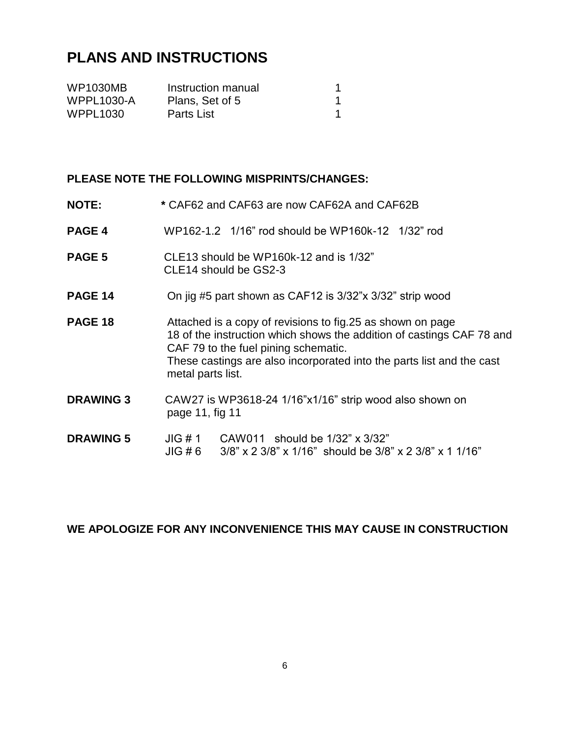# **PLANS AND INSTRUCTIONS**

| <b>WP1030MB</b>   | Instruction manual |  |
|-------------------|--------------------|--|
| <b>WPPL1030-A</b> | Plans, Set of 5    |  |
| <b>WPPL1030</b>   | Parts List         |  |

#### **PLEASE NOTE THE FOLLOWING MISPRINTS/CHANGES:**

- **NOTE: \*** CAF62 and CAF63 are now CAF62A and CAF62B
- **PAGE 4** WP162-1.2 1/16" rod should be WP160k-12 1/32" rod
- **PAGE 5** CLE13 should be WP160k-12 and is 1/32" CLE14 should be GS2-3
- **PAGE 14** On jig #5 part shown as CAF12 is 3/32"x 3/32" strip wood
- **PAGE 18** Attached is a copy of revisions to fig.25 as shown on page 18 of the instruction which shows the addition of castings CAF 78 and CAF 79 to the fuel pining schematic. These castings are also incorporated into the parts list and the cast metal parts list.
- **DRAWING 3** CAW27 is WP3618-24 1/16"x1/16" strip wood also shown on page 11, fig 11
- **DRAWING 5** JIG # 1 CAW011 should be 1/32" x 3/32" JIG # 6 3/8" x 2 3/8" x 1/16" should be 3/8" x 2 3/8" x 1 1/16"

### **WE APOLOGIZE FOR ANY INCONVENIENCE THIS MAY CAUSE IN CONSTRUCTION**